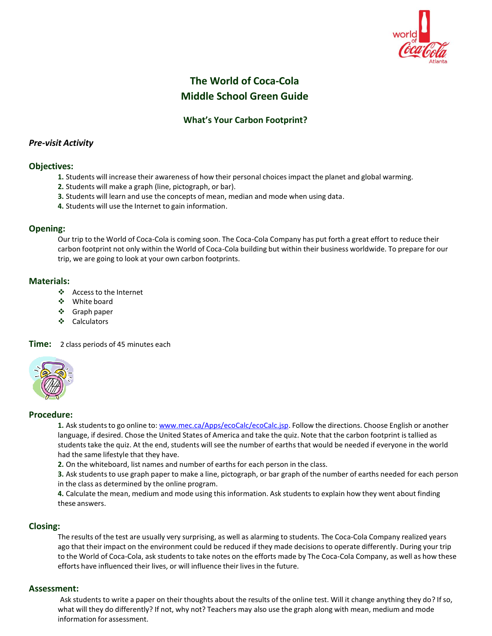

# **The World of Coca-Cola Middle School Green Guide**

## **What's Your Carbon Footprint?**

## *Pre-visit Activity*

## **Objectives:**

- **1.** Students will increase their awareness of how their personal choicesimpact the planet and global warming.
- **2.** Students will make a graph (line, pictograph, or bar).
- **3.** Students will learn and use the concepts of mean, median and mode when using data.
- **4.** Students will use the Internet to gain information.

## **Opening:**

Our trip to the World of Coca-Cola is coming soon. The Coca-Cola Company has put forth a great effort to reduce their carbon footprint not only within the World of Coca-Cola building but within their business worldwide. To prepare for our trip, we are going to look at your own carbon footprints.

## **Materials:**

- ❖ Access to the Internet
- White board
- ❖ Graph paper
- ❖ Calculators

#### **Time:** 2 class periods of 45 minutes each



#### **Procedure:**

**1.** Ask studentsto go online to: [www.mec.ca/Apps/ecoCalc/ecoCalc.jsp.](http://www.mec.ca/Apps/ecoCalc/ecoCalc.jsp) Follow the directions. Choose English or another language, if desired. Chose the United States of America and take the quiz. Note that the carbon footprint is tallied as students take the quiz. At the end, students will see the number of earths that would be needed if everyone in the world had the same lifestyle that they have.

**2.** On the whiteboard, list names and number of earthsfor each person in the class.

**3.** Ask students to use graph paper to make a line, pictograph, or bar graph of the number of earths needed for each person in the class as determined by the online program.

**4.** Calculate the mean, medium and mode using this information. Ask studentsto explain how they went about finding these answers.

## **Closing:**

The results of the test are usually very surprising, as well as alarming to students. The Coca-Cola Company realized years ago that their impact on the environment could be reduced if they made decisionsto operate differently. During your trip to the World of Coca-Cola, ask students to take notes on the efforts made by The Coca-Cola Company, as well as how these efforts have influenced their lives, or will influence their lives in the future.

## **Assessment:**

Ask students to write a paper on their thoughts about the results of the online test. Will it change anything they do? Ifso, what will they do differently? If not, why not? Teachers may also use the graph along with mean, medium and mode information for assessment.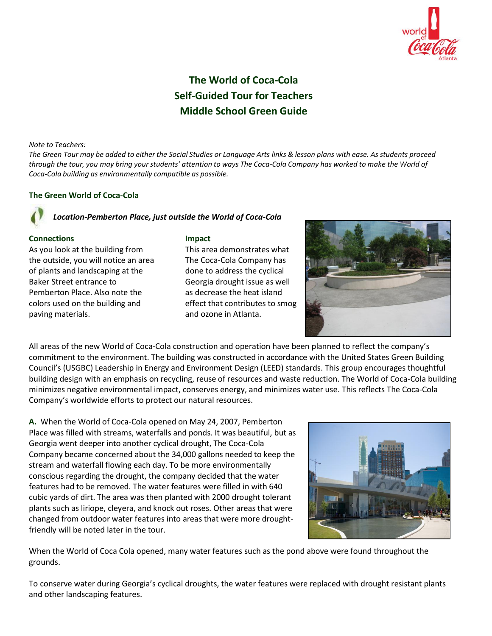

# **The World of Coca-Cola Self-Guided Tour for Teachers Middle School Green Guide**

#### *Note to Teachers:*

The Green Tour may be added to either the Social Studies or Language Arts links & lesson plans with ease. As students proceed through the tour, you may bring your students' attention to ways The Coca-Cola Company has worked to make the World of *Coca-Cola building as environmentally compatible as possible.*

#### **The Green World of Coca-Cola**

## *Location-Pemberton Place, just outside the World of Coca-Cola*

#### **Connections**

As you look at the building from the outside, you will notice an area of plants and landscaping at the Baker Street entrance to Pemberton Place. Also note the colors used on the building and paving materials.

#### **Impact**

This area demonstrates what The Coca-Cola Company has done to address the cyclical Georgia drought issue as well as decrease the heat island effect that contributes to smog and ozone in Atlanta.



All areas of the new World of Coca-Cola construction and operation have been planned to reflect the company's commitment to the environment. The building was constructed in accordance with the United States Green Building Council's (USGBC) Leadership in Energy and Environment Design (LEED) standards. This group encourages thoughtful building design with an emphasis on recycling, reuse of resources and waste reduction. The World of Coca-Cola building minimizes negative environmental impact, conserves energy, and minimizes water use. This reflects The Coca-Cola Company's worldwide efforts to protect our natural resources.

**A.** When the World of Coca-Cola opened on May 24, 2007, Pemberton Place was filled with streams, waterfalls and ponds. It was beautiful, but as Georgia went deeper into another cyclical drought, The Coca-Cola Company became concerned about the 34,000 gallons needed to keep the stream and waterfall flowing each day. To be more environmentally conscious regarding the drought, the company decided that the water features had to be removed. The water features were filled in with 640 cubic yards of dirt. The area was then planted with 2000 drought tolerant plants such as liriope, cleyera, and knock out roses. Other areas that were changed from outdoor water features into areas that were more droughtfriendly will be noted later in the tour.



When the World of Coca Cola opened, many water features such as the pond above were found throughout the grounds.

To conserve water during Georgia's cyclical droughts, the water features were replaced with drought resistant plants and other landscaping features.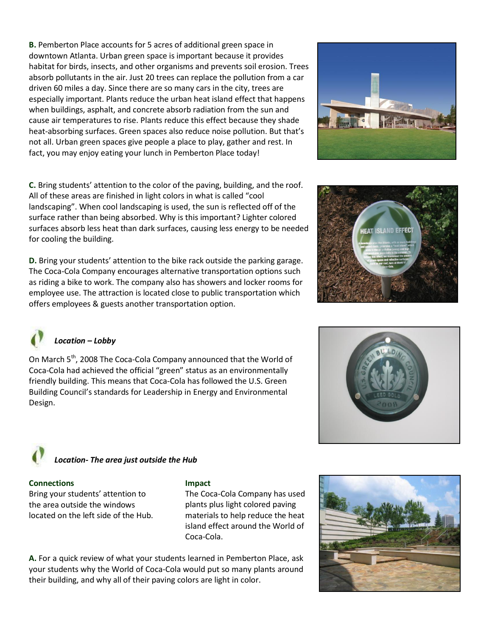**B.** Pemberton Place accounts for 5 acres of additional green space in downtown Atlanta. Urban green space is important because it provides habitat for birds, insects, and other organisms and prevents soil erosion. Trees absorb pollutants in the air. Just 20 trees can replace the pollution from a car driven 60 miles a day. Since there are so many cars in the city, trees are especially important. Plants reduce the urban heat island effect that happens when buildings, asphalt, and concrete absorb radiation from the sun and cause air temperatures to rise. Plants reduce this effect because they shade heat-absorbing surfaces. Green spaces also reduce noise pollution. But that's not all. Urban green spaces give people a place to play, gather and rest. In fact, you may enjoy eating your lunch in Pemberton Place today!



**C.** Bring students' attention to the color of the paving, building, and the roof. All of these areas are finished in light colors in what is called "cool landscaping". When cool landscaping is used, the sun is reflected off of the surface rather than being absorbed. Why is this important? Lighter colored surfaces absorb less heat than dark surfaces, causing less energy to be needed for cooling the building.

**D.** Bring your students' attention to the bike rack outside the parking garage. The Coca-Cola Company encourages alternative transportation options such as riding a bike to work. The company also has showers and locker rooms for employee use. The attraction is located close to public transportation which offers employees & guests another transportation option.





## *Location – Lobby*

On March 5<sup>th</sup>, 2008 The Coca-Cola Company announced that the World of Coca-Cola had achieved the official "green" status as an environmentally friendly building. This means that Coca-Cola has followed the U.S. Green Building Council's standards for Leadership in Energy and Environmental Design.



# *Location- The area just outside the Hub*

## **Connections**

Bring your students' attention to the area outside the windows located on the left side of the Hub.

## **Impact**

The Coca-Cola Company has used plants plus light colored paving materials to help reduce the heat island effect around the World of Coca-Cola.

**A.** For a quick review of what your students learned in Pemberton Place, ask your students why the World of Coca-Cola would put so many plants around their building, and why all of their paving colors are light in color.

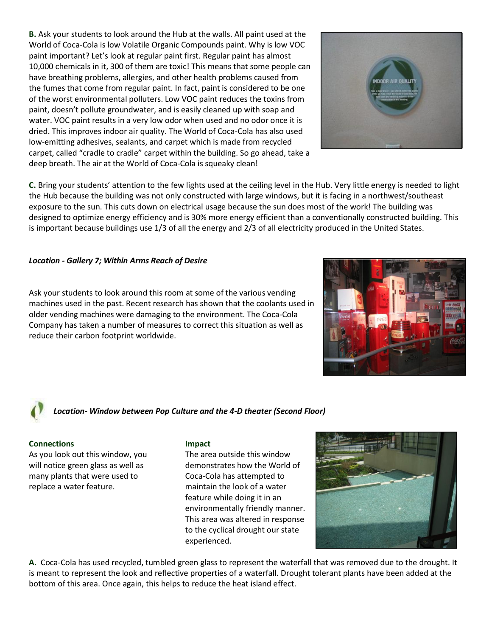**B.** Ask your students to look around the Hub at the walls. All paint used at the World of Coca-Cola is low Volatile Organic Compounds paint. Why is low VOC paint important? Let's look at regular paint first. Regular paint has almost 10,000 chemicals in it, 300 of them are toxic! This means that some people can have breathing problems, allergies, and other health problems caused from the fumes that come from regular paint. In fact, paint is considered to be one of the worst environmental polluters. Low VOC paint reduces the toxins from paint, doesn't pollute groundwater, and is easily cleaned up with soap and water. VOC paint results in a very low odor when used and no odor once it is dried. This improves indoor air quality. The World of Coca-Cola has also used low-emitting adhesives, sealants, and carpet which is made from recycled carpet, called "cradle to cradle" carpet within the building. So go ahead, take a deep breath. The air at the World of Coca-Cola is squeaky clean!

**C.** Bring your students' attention to the few lights used at the ceiling level in the Hub. Very little energy is needed to light the Hub because the building was not only constructed with large windows, but it is facing in a northwest/southeast exposure to the sun. This cuts down on electrical usage because the sun does most of the work! The building was designed to optimize energy efficiency and is 30% more energy efficient than a conventionally constructed building. This is important because buildings use 1/3 of all the energy and 2/3 of all electricity produced in the United States.

## *Location - Gallery 7; Within Arms Reach of Desire*

Ask your students to look around this room at some of the various vending machines used in the past. Recent research has shown that the coolants used in older vending machines were damaging to the environment. The Coca-Cola Company has taken a number of measures to correct this situation as well as reduce their carbon footprint worldwide.

*Location- Window between Pop Culture and the 4-D theater (Second Floor)*

## **Connections**

As you look out this window, you will notice green glass as well as many plants that were used to replace a water feature.

## **Impact**

The area outside this window demonstrates how the World of Coca-Cola has attempted to maintain the look of a water feature while doing it in an environmentally friendly manner. This area was altered in response to the cyclical drought our state experienced.

**A.** Coca-Cola has used recycled, tumbled green glass to represent the waterfall that was removed due to the drought. It is meant to represent the look and reflective properties of a waterfall. Drought tolerant plants have been added at the bottom of this area. Once again, this helps to reduce the heat island effect.







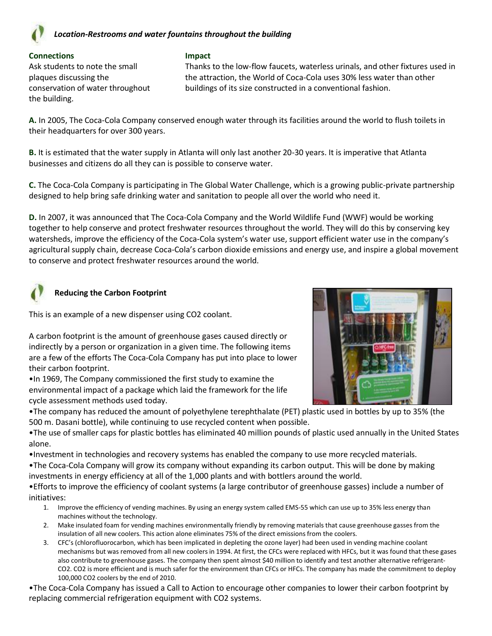

## *Location-Restrooms and water fountains throughout the building*

#### **Connections**

Ask students to note the small plaques discussing the conservation of water throughout the building.

#### **Impact**

Thanks to the low-flow faucets, waterless urinals, and other fixtures used in the attraction, the World of Coca-Cola uses 30% less water than other buildings of its size constructed in a conventional fashion.

**A.** In 2005, The Coca-Cola Company conserved enough water through its facilities around the world to flush toilets in their headquarters for over 300 years.

**B.** It is estimated that the water supply in Atlanta will only last another 20-30 years. It is imperative that Atlanta businesses and citizens do all they can is possible to conserve water.

**C.** The Coca-Cola Company is participating in The Global Water Challenge, which is a growing public-private partnership designed to help bring safe drinking water and sanitation to people all over the world who need it.

**D.** In 2007, it was announced that The Coca-Cola Company and the World Wildlife Fund (WWF) would be working together to help conserve and protect freshwater resources throughout the world. They will do this by conserving key watersheds, improve the efficiency of the Coca-Cola system's water use, support efficient water use in the company's agricultural supply chain, decrease Coca-Cola's carbon dioxide emissions and energy use, and inspire a global movement to conserve and protect freshwater resources around the world.

## **Reducing the Carbon Footprint**

This is an example of a new dispenser using CO2 coolant.

A carbon footprint is the amount of greenhouse gases caused directly or indirectly by a person or organization in a given time. The following items are a few of the efforts The Coca-Cola Company has put into place to lower their carbon footprint.

•In 1969, The Company commissioned the first study to examine the environmental impact of a package which laid the framework for the life cycle assessment methods used today.



•The company has reduced the amount of polyethylene terephthalate (PET) plastic used in bottles by up to 35% (the 500 m. Dasani bottle), while continuing to use recycled content when possible.

•The use of smaller caps for plastic bottles has eliminated 40 million pounds of plastic used annually in the United States alone.

•Investment in technologies and recovery systems has enabled the company to use more recycled materials.

•The Coca-Cola Company will grow its company without expanding its carbon output. This will be done by making investments in energy efficiency at all of the 1,000 plants and with bottlers around the world.

•Efforts to improve the efficiency of coolant systems (a large contributor of greenhouse gasses) include a number of initiatives:

- 1. Improve the efficiency of vending machines. By using an energy system called EMS-55 which can use up to 35% less energy than machines without the technology.
- 2. Make insulated foam for vending machines environmentally friendly by removing materials that cause greenhouse gasses from the insulation of all new coolers. This action alone eliminates 75% of the direct emissions from the coolers.
- 3. CFC's (chlorofluorocarbon, which has been implicated in depleting the ozone layer) had been used in vending machine coolant mechanisms but was removed from all new coolers in 1994. At first, the CFCs were replaced with HFCs, but it was found that these gases also contribute to greenhouse gases. The company then spent almost \$40 million to identify and test another alternative refrigerant-CO2. CO2 is more efficient and is much safer for the environment than CFCs or HFCs. The company has made the commitment to deploy 100,000 CO2 coolers by the end of 2010.

•The Coca-Cola Company has issued a Call to Action to encourage other companies to lower their carbon footprint by replacing commercial refrigeration equipment with CO2 systems.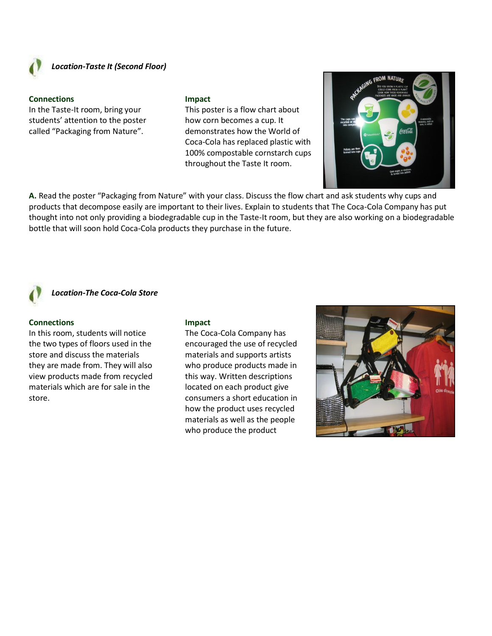

## *Location-Taste It (Second Floor)*

#### **Connections**

In the Taste-It room, bring your students' attention to the poster called "Packaging from Nature".

#### **Impact**

This poster is a flow chart about how corn becomes a cup. It demonstrates how the World of Coca-Cola has replaced plastic with 100% compostable cornstarch cups throughout the Taste It room.



**A.** Read the poster "Packaging from Nature" with your class. Discuss the flow chart and ask students why cups and products that decompose easily are important to their lives. Explain to students that The Coca-Cola Company has put thought into not only providing a biodegradable cup in the Taste-It room, but they are also working on a biodegradable bottle that will soon hold Coca-Cola products they purchase in the future.

## *Location-The Coca-Cola Store*

#### **Connections**

In this room, students will notice the two types of floors used in the store and discuss the materials they are made from. They will also view products made from recycled materials which are for sale in the store.

#### **Impact**

The Coca-Cola Company has encouraged the use of recycled materials and supports artists who produce products made in this way. Written descriptions located on each product give consumers a short education in how the product uses recycled materials as well as the people who produce the product

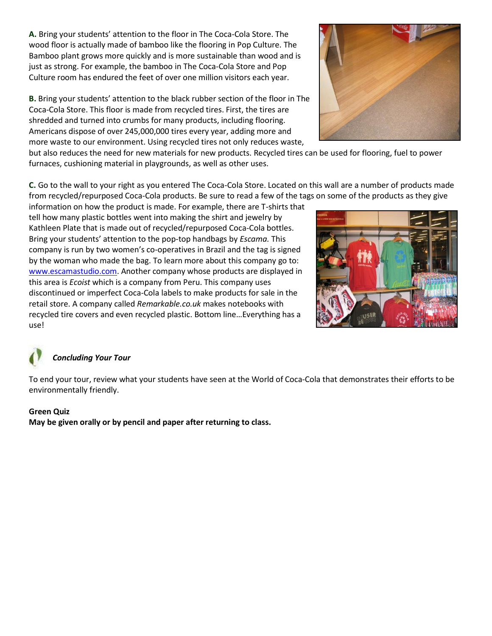**A.** Bring your students' attention to the floor in The Coca-Cola Store. The wood floor is actually made of bamboo like the flooring in Pop Culture. The Bamboo plant grows more quickly and is more sustainable than wood and is just as strong. For example, the bamboo in The Coca-Cola Store and Pop Culture room has endured the feet of over one million visitors each year.

**B.** Bring your students' attention to the black rubber section of the floor in The Coca-Cola Store. This floor is made from recycled tires. First, the tires are shredded and turned into crumbs for many products, including flooring. Americans dispose of over 245,000,000 tires every year, adding more and more waste to our environment. Using recycled tires not only reduces waste,



but also reduces the need for new materials for new products. Recycled tires can be used for flooring, fuel to power furnaces, cushioning material in playgrounds, as well as other uses.

**C.** Go to the wall to your right as you entered The Coca-Cola Store. Located on this wall are a number of products made from recycled/repurposed Coca-Cola products. Be sure to read a few of the tags on some of the products as they give

information on how the product is made. For example, there are T-shirts that tell how many plastic bottles went into making the shirt and jewelry by Kathleen Plate that is made out of recycled/repurposed Coca-Cola bottles. Bring your students' attention to the pop-top handbags by *Escama.* This company is run by two women's co-operatives in Brazil and the tag is signed by the woman who made the bag. To learn more about this company go to: [www.escamastudio.com.](http://www.escamastudio.com/) Another company whose products are displayed in this area is *Ecoist* which is a company from Peru. This company uses discontinued or imperfect Coca-Cola labels to make products for sale in the retail store. A company called *Remarkable.co.uk* makes notebooks with recycled tire covers and even recycled plastic. Bottom line…Everything has a use!



## *Concluding Your Tour*

To end your tour, review what your students have seen at the World of Coca-Cola that demonstrates their efforts to be environmentally friendly.

## **Green Quiz**

**May be given orally or by pencil and paper after returning to class.**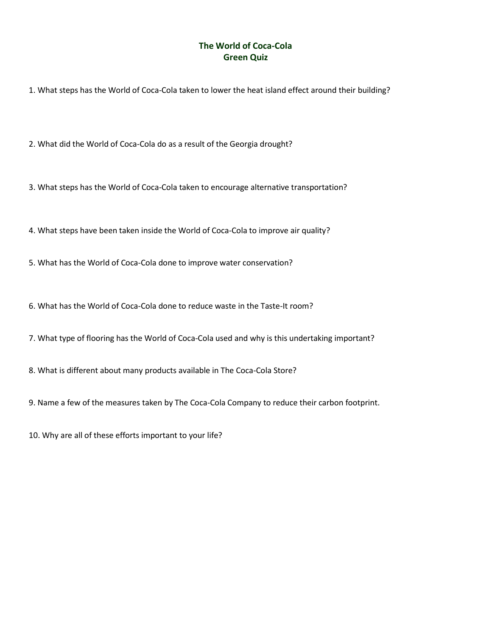## **The World of Coca-Cola Green Quiz**

1. What steps has the World of Coca-Cola taken to lower the heat island effect around their building?

2. What did the World of Coca-Cola do as a result of the Georgia drought?

3. What steps has the World of Coca-Cola taken to encourage alternative transportation?

4. What steps have been taken inside the World of Coca-Cola to improve air quality?

5. What has the World of Coca-Cola done to improve water conservation?

6. What has the World of Coca-Cola done to reduce waste in the Taste-It room?

7. What type of flooring has the World of Coca-Cola used and why is this undertaking important?

8. What is different about many products available in The Coca-Cola Store?

9. Name a few of the measures taken by The Coca-Cola Company to reduce their carbon footprint.

10. Why are all of these efforts important to your life?